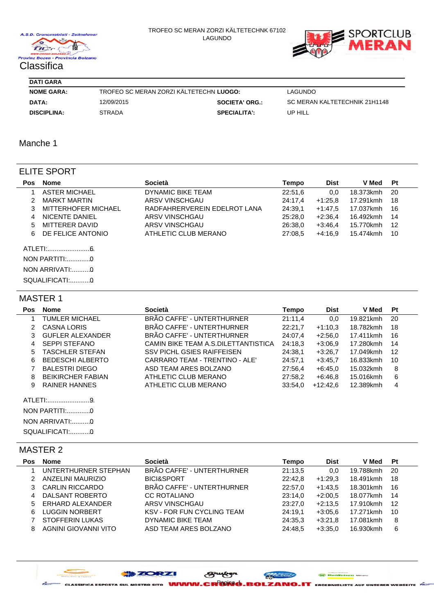

#### TROFEO SC MERAN ZORZI KÄLTETECHNK 67102 LAGUNDO



| <b>DATI GARA</b> |
|------------------|

| <b>NOME GARA:</b>  | TROFEO SC MERAN ZORZI KALTETECHN LUOGO: |                       | LAGUNDO                       |
|--------------------|-----------------------------------------|-----------------------|-------------------------------|
| DATA:              | 12/09/2015                              | <b>SOCIETA' ORG.:</b> | SC MERAN KALTETECHNIK 21H1148 |
| <b>DISCIPLINA:</b> | <b>STRADA</b>                           | <b>SPECIALITA':</b>   | UP HILL                       |

## Manche 1

## ELITE SPORT

| <b>Pos</b> | Nome                 | Società                      | Tempo   | <b>Dist</b> | <b>V</b> Med | Pt  |
|------------|----------------------|------------------------------|---------|-------------|--------------|-----|
|            | <b>ASTER MICHAEL</b> | DYNAMIC BIKE TEAM            | 22:51,6 | 0.0         | 18.373kmh    | 20  |
|            | MARKT MARTIN         | ARSV VINSCHGAU               | 24:17.4 | +1:25.8     | 17.291kmh    | 18  |
| 3          | MITTERHOFER MICHAEL  | RADFAHRERVEREIN EDELROT LANA | 24:39.1 | $+1:47.5$   | 17.037kmh    | 16  |
| 4          | NICENTE DANIEL       | ARSV VINSCHGAU               | 25:28,0 | $+2:36.4$   | 16.492kmh    | 14  |
| 5.         | MITTERER DAVID       | ARSV VINSCHGAU               | 26:38.0 | $+3:46.4$   | 15.770kmh    | -12 |
| 6.         | DE FELICE ANTONIO    | ATHLETIC CLUB MERANO         | 27:08.5 | $+4:16.9$   | 15.474kmh    | 10  |
|            |                      |                              |         |             |              |     |
|            | <b>NON PARTITI:0</b> |                              |         |             |              |     |
|            | NON ARRIVATI:0       |                              |         |             |              |     |
|            | SQUALIFICATI:0       |                              |         |             |              |     |

## MASTER 1

| <b>Pos</b> | <b>Nome</b>              | <b>Società</b>                       | Tempo   | <b>Dist</b> | <b>V</b> Med | Pt  |
|------------|--------------------------|--------------------------------------|---------|-------------|--------------|-----|
|            | <b>TUMLER MICHAEL</b>    | BRÃO CAFFE' - UNTERTHURNER           | 21:11.4 | 0,0         | 19.821kmh    | 20  |
| 2          | <b>CASNA LORIS</b>       | BRÃO CAFFE' - UNTERTHURNER           | 22:21.7 | $+1:10.3$   | 18.782kmh    | 18  |
| 3          | <b>GUFLER ALEXANDER</b>  | BRÃO CAFFE' - UNTERTHURNER           | 24:07.4 | $+2:56.0$   | 17.411kmh    | 16  |
| 4          | <b>SEPPI STEFANO</b>     | CAMIN BIKE TEAM A.S. DILETTANTISTICA | 24:18.3 | $+3:06.9$   | 17.280kmh    | 14  |
| 5          | <b>TASCHLER STEFAN</b>   | <b>SSV PICHL GSIES RAIFFEISEN</b>    | 24:38,1 | $+3:26.7$   | 17.049kmh    | -12 |
| 6          | <b>BEDESCHI ALBERTO</b>  | CARRARO TEAM - TRENTINO - ALE'       | 24:57.1 | $+3:45.7$   | 16.833kmh    | 10  |
| 7          | <b>BALESTRI DIEGO</b>    | ASD TEAM ARES BOLZANO                | 27:56.4 | $+6:45.0$   | 15.032kmh    | 8   |
| 8          | <b>BEIKIRCHER FABIAN</b> | ATHLETIC CLUB MERANO                 | 27:58.2 | +6:46.8     | 15.016kmh    | 6   |
| 9          | <b>RAINER HANNES</b>     | ATHLETIC CLUB MERANO                 | 33:54,0 | $+12:42.6$  | 12.389kmh    | 4   |
|            | ATLETI:9.                |                                      |         |             |              |     |
|            |                          |                                      |         |             |              |     |
|            | NON ARRIVATI:0           |                                      |         |             |              |     |
|            | SQUALIFICATI:0           |                                      |         |             |              |     |

## MASTER 2

| Pos | Nome                   | <b>Società</b>                    | Tempo   | <b>Dist</b> | V Med     | Pt  |
|-----|------------------------|-----------------------------------|---------|-------------|-----------|-----|
|     | UNTERTHURNER STEPHAN   | BRÃO CAFFE' - UNTERTHURNER        | 21:13.5 | 0.0         | 19.788kmh | -20 |
|     | ANZELINI MAURIZIO      | <b>BICI&amp;SPORT</b>             | 22:42.8 | $+1:29.3$   | 18.491kmh | 18  |
|     | CARLIN RICCARDO        | BRÃO CAFFE' - UNTERTHURNER        | 22:57.0 | $+1:43.5$   | 18.301kmh | 16  |
|     | DALSANT ROBERTO        | <b>CC ROTALIANO</b>               | 23:14.0 | $+2:00.5$   | 18.077kmh | 14  |
| 5.  | ERHARD ALEXANDER       | ARSV VINSCHGAU                    | 23:27.0 | $+2:13.5$   | 17.910kmh | 12  |
|     | <b>LUGGIN NORBERT</b>  | <b>KSV - FOR FUN CYCLING TEAM</b> | 24:19.1 | $+3:05.6$   | 17.271kmh | 10  |
|     | <b>STOFFERIN LUKAS</b> | DYNAMIC BIKE TEAM                 | 24:35.3 | $+3:21.8$   | 17.081kmh | 8   |
|     | AGNINI GIOVANNI VITO   | ASD TEAM ARES BOLZANO             | 24:48.5 | $+3:35.0$   | 16.930kmh | 6   |

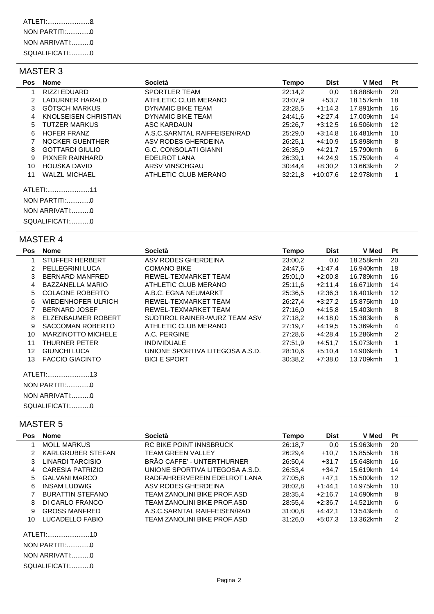# MASTER 3

| Pos:          | <b>Nome</b>            | <b>Società</b>               | Tempo   | <b>Dist</b> | <b>V</b> Med | Pt |
|---------------|------------------------|------------------------------|---------|-------------|--------------|----|
|               | <b>RIZZI EDUARD</b>    | <b>SPORTLER TEAM</b>         | 22:14,2 | 0,0         | 18.888kmh    | 20 |
| $\mathcal{P}$ | <b>LADURNER HARALD</b> | ATHLETIC CLUB MERANO         | 23:07,9 | $+53.7$     | 18.157kmh    | 18 |
| 3             | <b>GÖTSCH MARKUS</b>   | DYNAMIC BIKE TEAM            | 23:28.5 | $+1:14.3$   | 17.891kmh    | 16 |
| 4             | KNOLSEISEN CHRISTIAN   | DYNAMIC BIKE TEAM            | 24:41,6 | $+2:27,4$   | 17.009kmh    | 14 |
| 5             | TUTZER MARKUS          | ASC KARDAUN                  | 25:26,7 | $+3:12.5$   | 16.506kmh    | 12 |
| 6             | <b>HOFER FRANZ</b>     | A.S.C.SARNTAL RAIFFEISEN/RAD | 25:29,0 | $+3:14.8$   | 16.481kmh    | 10 |
|               | <b>NOCKER GUENTHER</b> | ASV RODES GHERDEINA          | 26:25,1 | $+4:10.9$   | 15.898kmh    | 8  |
| 8             | <b>GOTTARDI GIULIO</b> | G.C. CONSOLATI GIANNI        | 26:35,9 | $+4:21.7$   | 15.790kmh    | 6  |
| 9             | PIXNER RAINHARD        | <b>EDELROT LANA</b>          | 26:39,1 | $+4:24.9$   | 15.759kmh    | 4  |
| 10            | HOUSKA DAVID           | ARSV VINSCHGAU               | 30:44.4 | $+8:30.2$   | 13.663kmh    | 2  |
| 11            | <b>WALZL MICHAEL</b>   | ATHLETIC CLUB MERANO         | 32:21.8 | +10:07.6    | 12.978kmh    | 1  |
|               | ATLETI:                |                              |         |             |              |    |
|               | NON PARTITI:0          |                              |         |             |              |    |
|               | NON ARRIVATI:0         |                              |         |             |              |    |

## MASTER 4

SQUALIFICATI:............. 0

| <b>Pos</b> | <b>Nome</b>               | <b>Società</b>                  | Tempo   | <b>Dist</b> | <b>V</b> Med | Pt             |
|------------|---------------------------|---------------------------------|---------|-------------|--------------|----------------|
| 1          | <b>STUFFER HERBERT</b>    | ASV RODES GHERDEINA             | 23:00,2 | 0,0         | 18.258kmh    | 20             |
| 2          | <b>PELLEGRINI LUCA</b>    | <b>COMANO BIKE</b>              | 24:47.6 | $+1:47,4$   | 16.940kmh    | 18             |
| 3          | <b>BERNARD MANFRED</b>    | REWEL-TEXMARKET TEAM            | 25:01.0 | $+2:00.8$   | 16.789kmh    | 16             |
| 4          | <b>BAZZANELLA MARIO</b>   | ATHLETIC CLUB MERANO            | 25:11,6 | $+2:11.4$   | 16.671kmh    | 14             |
| 5          | <b>COLAONE ROBERTO</b>    | A.B.C. EGNA NEUMARKT            | 25:36,5 | $+2:36.3$   | 16.401kmh    | 12             |
| 6          | WIEDENHOFER ULRICH        | REWEL-TEXMARKET TEAM            | 26:27,4 | $+3:27,2$   | 15.875kmh    | 10             |
| 7          | <b>BERNARD JOSEF</b>      | REWEL-TEXMARKET TEAM            | 27:16.0 | $+4:15.8$   | 15.403kmh    | 8              |
| 8          | ELZENBAUMER ROBERT        | SÜDTIROL RAINER-WURZ TEAM ASV   | 27:18.2 | $+4:18.0$   | 15.383kmh    | 6              |
| 9          | SACCOMAN ROBERTO          | ATHLETIC CLUB MERANO            | 27:19,7 | $+4:19.5$   | 15.369kmh    | $\overline{4}$ |
| 10         | <b>MARZINOTTO MICHELE</b> | A.C. PERGINE                    | 27:28.6 | $+4:28,4$   | 15.286kmh    | 2              |
| 11         | THURNER PETER             | <b>INDIVIDUALE</b>              | 27:51,9 | $+4:51,7$   | 15.073kmh    | 1              |
| 12         | <b>GIUNCHI LUCA</b>       | UNIONE SPORTIVA LITEGOSA A.S.D. | 28:10.6 | $+5:10,4$   | 14.906kmh    | 1              |
| 13         | <b>FACCIO GIACINTO</b>    | <b>BICI E SPORT</b>             | 30:38,2 | $+7:38.0$   | 13.709kmh    | 1              |
|            |                           |                                 |         |             |              |                |
|            | NON PARTITI:0             |                                 |         |             |              |                |
|            | NON ARRIVATI:0            |                                 |         |             |              |                |
|            | SQUALIFICATI:0            |                                 |         |             |              |                |

# MASTER 5

SQUALIFICATI:............. 0

| <b>Pos</b>    | <b>Nome</b>                     | Società                         | Tempo   | <b>Dist</b> | V Med     | Pt |
|---------------|---------------------------------|---------------------------------|---------|-------------|-----------|----|
|               | <b>MOLL MARKUS</b>              | RC BIKE POINT INNSBRUCK         | 26:18.7 | 0.0         | 15.963kmh | 20 |
| $\mathcal{P}$ | KARLGRUBER STEFAN               | <b>TEAM GREEN VALLEY</b>        | 26:29.4 | $+10.7$     | 15.855kmh | 18 |
| 3             | LINARDI TARCISIO                | BRÃO CAFFE' - UNTERTHURNER      | 26:50.4 | $+31.7$     | 15.648kmh | 16 |
| 4             | CARESIA PATRIZIO                | UNIONE SPORTIVA LITEGOSA A.S.D. | 26:53,4 | $+34.7$     | 15.619kmh | 14 |
| 5.            | <b>GALVANI MARCO</b>            | RADFAHRERVEREIN EDELROT LANA    | 27:05.8 | $+47.1$     | 15.500kmh | 12 |
| 6             | <b>INSAM LUDWIG</b>             | ASV RODES GHERDEINA             | 28:02,8 | $+1:44.1$   | 14.975kmh | 10 |
|               | <b>BURATTIN STEFANO</b>         | TEAM ZANOLINI BIKE PROF.ASD     | 28:35,4 | $+2:16.7$   | 14.690kmh | 8  |
| 8             | DI CARLO FRANCO                 | TEAM ZANOLINI BIKE PROF.ASD     | 28:55.4 | $+2:36.7$   | 14.521kmh | 6  |
| 9             | <b>GROSS MANFRED</b>            | A.S.C.SARNTAL RAIFFEISEN/RAD    | 31:00.8 | $+4:42,1$   | 13.543kmh | 4  |
| 10            | LUCADELLO FABIO                 | TEAM ZANOLINI BIKE PROF.ASD     | 31:26.0 | $+5:07.3$   | 13.362kmh | 2  |
|               | NON PARTITI:0<br>NON ARRIVATI:0 |                                 |         |             |           |    |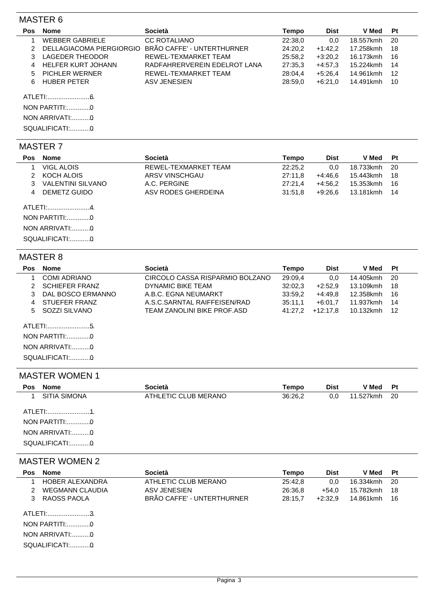## MASTER 6

| <b>Pos</b> | <b>Nome</b>              | <b>Società</b>               | Tempo   | <b>Dist</b> | V Med     | Pt  |
|------------|--------------------------|------------------------------|---------|-------------|-----------|-----|
|            | <b>WEBBER GABRIELE</b>   | <b>CC ROTALIANO</b>          | 22:38.0 | 0.0         | 18.557kmh | -20 |
|            | DELLAGIACOMA PIERGIORGIO | BRÃO CAFFE' - UNTERTHURNER   | 24:20.2 | $+1:42.2$   | 17.258kmh | 18  |
|            | LAGEDER THEODOR          | REWEL-TEXMARKET TEAM         | 25:58.2 | $+3:20.2$   | 16.173kmh | 16  |
|            | HELFER KURT JOHANN       | RADFAHRERVEREIN EDELROT LANA | 27:35.3 | $+4:57.3$   | 15.224kmh | 14  |
|            | 5 PICHLER WERNER         | REWEL-TEXMARKET TEAM         | 28:04.4 | $+5:26.4$   | 14.961kmh | 12  |
|            | HUBER PETER              | ASV JENESIEN                 | 28:59.0 | $+6:21.0$   | 14.491kmh | 10  |
|            | ATLETI:                  |                              |         |             |           |     |

NON PARTITI:..............0<br>NON ARRIVATI:..........0 SQUALIFICATI:............. 0 NON PARTITI:..............

## MASTER 7

| <b>Pos</b> | <b>Nome</b>                                   | Società              | Tempo   | Dist      | V Med     | Pt  |
|------------|-----------------------------------------------|----------------------|---------|-----------|-----------|-----|
|            | <b>VIGL ALOIS</b>                             | REWEL-TEXMARKET TEAM | 22:25,2 | 0.0       | 18.733kmh | -20 |
|            | KOCH ALOIS                                    | ARSV VINSCHGAU       | 27:11.8 | +4:46.6   | 15.443kmh | 18  |
|            | <b>VALENTINI SILVANO</b>                      | A.C. PERGINE         | 27:21.4 | $+4:56.2$ | 15.353kmh | 16  |
| 4          | DEMETZ GUIDO                                  | ASV RODES GHERDEINA  | 31:51.8 | +9:26.6   | 13.181kmh | 14  |
|            | ATLETI:4.<br>NON ARRIVATI:0<br>SQUALIFICATI:0 |                      |         |           |           |     |

#### MASTER 8

| <b>Pos</b> | Nome                  | <b>Società</b>                  | Tempo   | <b>Dist</b> | V Med     | Pt  |
|------------|-----------------------|---------------------------------|---------|-------------|-----------|-----|
|            | COMI ADRIANO          | CIRCOLO CASSA RISPARMIO BOLZANO | 29:09,4 | 0.0         | 14.405kmh | -20 |
|            | <b>SCHIEFER FRANZ</b> | DYNAMIC BIKE TEAM               | 32:02.3 | $+2:52.9$   | 13.109kmh | 18  |
|            | DAL BOSCO ERMANNO     | A.B.C. EGNA NEUMARKT            | 33:59.2 | +4:49.8     | 12.358kmh | 16  |
| 4          | STUEFER FRANZ         | A.S.C.SARNTAL RAIFFEISEN/RAD    | 35:11.1 | $+6:01.7$   | 11.937kmh | 14  |
| 5.         | SOZZI SILVANO         | TEAM ZANOLINI BIKE PROF.ASD     | 41:27.2 | $+12:17.8$  | 10.132kmh | -12 |
|            |                       |                                 |         |             |           |     |
|            | NON ARRIVATI:0        |                                 |         |             |           |     |
|            | SQUALIFICATI:0        |                                 |         |             |           |     |

#### MASTER WOMEN 1

| Nome<br><b>Pos</b>                                | <b>Società</b>       | Tempo   | <b>Dist</b> | <b>V</b> Med | Pt  |
|---------------------------------------------------|----------------------|---------|-------------|--------------|-----|
| SITIA SIMONA                                      | ATHLETIC CLUB MERANO | 36:26,2 | 0,0         | 11.527kmh    | -20 |
| NON PARTITI:0<br>NON ARRIVATI:0<br>SQUALIFICATI:0 |                      |         |             |              |     |

# MASTER WOMEN 2

| <b>Pos</b>                                    | <b>Nome</b>            | Società                    | Tempo   | <b>Dist</b> | V Med     | Pt  |
|-----------------------------------------------|------------------------|----------------------------|---------|-------------|-----------|-----|
|                                               | <b>HOBER ALEXANDRA</b> | ATHLETIC CLUB MERANO       | 25:42.8 | 0.0         | 16.334kmh | -20 |
|                                               | <b>WEGMANN CLAUDIA</b> | ASV JENESIEN               | 26:36.8 | $+54.0$     | 15.782kmh | -18 |
|                                               | RAOSS PAOLA            | BRÃO CAFFE' - UNTERTHURNER | 28:15.7 | $+2:32.9$   | 14.861kmh | -16 |
| ATLETI:3.<br>NON ARRIVATI:0<br>SQUALIFICATI:0 |                        |                            |         |             |           |     |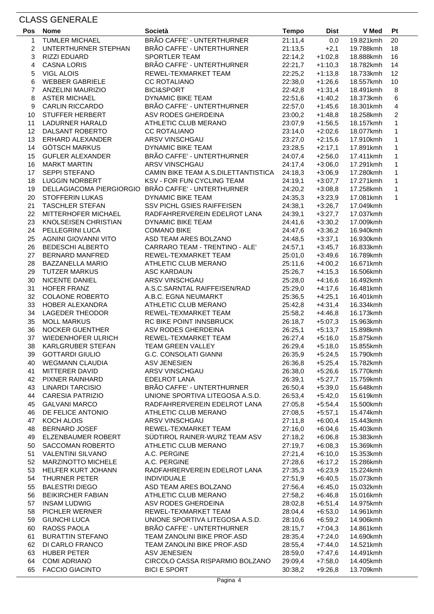# CLASS GENERALE

| <b>Pos</b>     | <b>Nome</b>                           | <b>Società</b>                                             | <b>Tempo</b>       | <b>Dist</b>            | V Med                  | Pt             |
|----------------|---------------------------------------|------------------------------------------------------------|--------------------|------------------------|------------------------|----------------|
| 1              | <b>TUMLER MICHAEL</b>                 | BRÃO CAFFE' - UNTERTHURNER                                 | 21:11,4            | 0,0                    | 19.821kmh              | 20             |
| $\overline{c}$ | UNTERTHURNER STEPHAN                  | BRÃO CAFFE' - UNTERTHURNER                                 | 21:13,5            | $+2,1$                 | 19.788kmh              | 18             |
| 3              | RIZZI EDUARD                          | <b>SPORTLER TEAM</b>                                       | 22:14,2            | $+1:02,8$              | 18.888kmh              | 16             |
| 4              | <b>CASNA LORIS</b>                    | BRÃO CAFFE' - UNTERTHURNER                                 | 22:21,7            | $+1:10,3$              | 18.782kmh              | 14             |
| 5              | <b>VIGL ALOIS</b>                     | REWEL-TEXMARKET TEAM                                       | 22:25,2            | $+1:13,8$              | 18.733kmh              | 12             |
| 6              | <b>WEBBER GABRIELE</b>                | <b>CC ROTALIANO</b>                                        | 22:38,0            | +1:26,6                | 18.557kmh              | 10             |
| $\overline{7}$ | <b>ANZELINI MAURIZIO</b>              | <b>BICI&amp;SPORT</b>                                      | 22:42,8            | $+1:31,4$              | 18.491kmh              | 8              |
| 8              | <b>ASTER MICHAEL</b>                  | <b>DYNAMIC BIKE TEAM</b>                                   | 22:51,6            | $+1:40,2$              | 18.373kmh              | $\,6$          |
| 9              | <b>CARLIN RICCARDO</b>                | BRÃO CAFFE' - UNTERTHURNER                                 | 22:57,0            | $+1:45,6$              | 18.301kmh              | $\overline{4}$ |
| 10             | STUFFER HERBERT                       | ASV RODES GHERDEINA                                        | 23:00,2            | $+1:48,8$              | 18.258kmh              | $\overline{2}$ |
| 11             | LADURNER HARALD                       | ATHLETIC CLUB MERANO                                       | 23:07,9            | $+1:56,5$              | 18.157kmh              | $\mathbf{1}$   |
| 12             | DALSANT ROBERTO                       | <b>CC ROTALIANO</b>                                        | 23:14,0            | $+2:02,6$              | 18.077kmh              | $\mathbf{1}$   |
| 13             | ERHARD ALEXANDER                      | ARSV VINSCHGAU                                             | 23:27,0            | $+2:15,6$              | 17.910kmh              | $\mathbf 1$    |
| 14             | <b>GÖTSCH MARKUS</b>                  | DYNAMIC BIKE TEAM                                          | 23:28,5            | $+2:17,1$              | 17.891kmh              | 1              |
| 15             | <b>GUFLER ALEXANDER</b>               | BRÃO CAFFE' - UNTERTHURNER                                 | 24:07,4            | $+2:56,0$              | 17.411kmh              | 1              |
| 16             | <b>MARKT MARTIN</b>                   | ARSV VINSCHGAU                                             | 24:17,4            | $+3:06,0$              | 17.291kmh              | $\mathbf{1}$   |
| 17             | <b>SEPPI STEFANO</b>                  | CAMIN BIKE TEAM A.S. DILETTANTISTICA                       | 24:18,3            | $+3:06,9$              | 17.280kmh              | 1              |
| 18             | <b>LUGGIN NORBERT</b>                 | KSV - FOR FUN CYCLING TEAM                                 | 24:19,1            | $+3:07,7$              | 17.271kmh              | $\mathbf{1}$   |
| 19             |                                       | DELLAGIACOMA PIERGIORGIO BRÃO CAFFE' - UNTERTHURNER        | 24:20,2            | $+3:08,8$              | 17.258kmh              | $\mathbf{1}$   |
| 20             | <b>STOFFERIN LUKAS</b>                | <b>DYNAMIC BIKE TEAM</b>                                   | 24:35,3            | $+3:23,9$              | 17.081kmh              | $\mathbf{1}$   |
| 21             | <b>TASCHLER STEFAN</b>                | SSV PICHL GSIES RAIFFEISEN                                 | 24:38,1            | $+3:26,7$              | 17.049kmh              |                |
| 22             | <b>MITTERHOFER MICHAEL</b>            | RADFAHRERVEREIN EDELROT LANA                               | 24:39,1            | $+3:27,7$              | 17.037kmh              |                |
| 23             | KNOLSEISEN CHRISTIAN                  | <b>DYNAMIC BIKE TEAM</b>                                   | 24:41,6            | $+3:30,2$              | 17.009kmh              |                |
| 24             | PELLEGRINI LUCA                       | <b>COMANO BIKE</b>                                         | 24:47,6            | $+3:36,2$              | 16.940kmh              |                |
| 25             | AGNINI GIOVANNI VITO                  | ASD TEAM ARES BOLZANO                                      | 24:48,5            | $+3:37,1$              | 16.930kmh              |                |
| 26             | BEDESCHI ALBERTO                      | CARRARO TEAM - TRENTINO - ALE'                             | 24:57,1            | $+3:45,7$              | 16.833kmh              |                |
| 27             | <b>BERNARD MANFRED</b>                | REWEL-TEXMARKET TEAM                                       | 25:01,0            | $+3:49,6$              | 16.789kmh              |                |
| 28             | <b>BAZZANELLA MARIO</b>               | ATHLETIC CLUB MERANO                                       | 25:11,6            | $+4:00,2$              | 16.671kmh              |                |
| 29             | <b>TUTZER MARKUS</b>                  | <b>ASC KARDAUN</b>                                         | 25:26,7            | $+4:15,3$              | 16.506kmh              |                |
| 30             | NICENTE DANIEL                        | ARSV VINSCHGAU                                             | 25:28,0            | $+4:16,6$              | 16.492kmh              |                |
| 31             | HOFER FRANZ                           | A.S.C.SARNTAL RAIFFEISEN/RAD                               | 25:29,0            | $+4:17,6$              | 16.481kmh              |                |
| 32             | <b>COLAONE ROBERTO</b>                | A.B.C. EGNA NEUMARKT                                       | 25:36,5            | $+4:25,1$              | 16.401kmh              |                |
| 33             | HOBER ALEXANDRA                       | ATHLETIC CLUB MERANO                                       | 25:42,8            | +4:31,4                | 16.334kmh              |                |
| 34             | <b>LAGEDER THEODOR</b>                | REWEL-TEXMARKET TEAM                                       | 25:58,2            | $+4:46,8$              | 16.173kmh              |                |
| 35             | <b>MOLL MARKUS</b>                    | RC BIKE POINT INNSBRUCK                                    | 26:18,7            | $+5:07,3$              | 15.963kmh              |                |
| 36             | <b>NOCKER GUENTHER</b>                | ASV RODES GHERDEINA                                        | 26:25,1            | $+5:13,7$              | 15.898kmh              |                |
| 37             | WIEDENHOFER ULRICH                    | REWEL-TEXMARKET TEAM                                       | 26:27,4            | $+5:16,0$              | 15.875kmh              |                |
| 38             | KARLGRUBER STEFAN                     | <b>TEAM GREEN VALLEY</b>                                   | 26:29,4            | $+5:18,0$              | 15.855kmh              |                |
| 39             | <b>GOTTARDI GIULIO</b>                | G.C. CONSOLATI GIANNI                                      | 26:35,9            | $+5:24,5$              | 15.790kmh              |                |
| 40             | <b>WEGMANN CLAUDIA</b>                | <b>ASV JENESIEN</b>                                        | 26:36,8            | $+5:25,4$              | 15.782kmh              |                |
| 41             | <b>MITTERER DAVID</b>                 | ARSV VINSCHGAU                                             | 26:38,0            | $+5:26,6$              | 15.770kmh              |                |
| 42             | PIXNER RAINHARD                       | <b>EDELROT LANA</b>                                        | 26:39,1            | $+5:27,7$              | 15.759kmh              |                |
| 43             | <b>LINARDI TARCISIO</b>               | BRÃO CAFFE' - UNTERTHURNER                                 | 26:50,4            | $+5:39,0$              | 15.648kmh              |                |
| 44             | <b>CARESIA PATRIZIO</b>               | UNIONE SPORTIVA LITEGOSA A.S.D.                            | 26:53,4            | $+5:42,0$              | 15.619kmh              |                |
| 45             | <b>GALVANI MARCO</b>                  | RADFAHRERVEREIN EDELROT LANA                               | 27:05,8            | $+5:54,4$              | 15.500kmh              |                |
| 46             | DE FELICE ANTONIO                     | ATHLETIC CLUB MERANO                                       | 27:08,5            | $+5:57,1$              | 15.474kmh              |                |
| 47             | KOCH ALOIS                            | ARSV VINSCHGAU                                             | 27:11,8            | $+6:00,4$              | 15.443kmh              |                |
| 48             | <b>BERNARD JOSEF</b>                  | REWEL-TEXMARKET TEAM                                       | 27:16,0            | $+6:04,6$              | 15.403kmh              |                |
| 49             | ELZENBAUMER ROBERT                    | SÜDTIROL RAINER-WURZ TEAM ASV                              | 27:18,2            | $+6:06,8$              | 15.383kmh              |                |
| 50             | SACCOMAN ROBERTO                      | ATHLETIC CLUB MERANO                                       | 27:19,7            | $+6:08,3$              | 15.369kmh              |                |
| 51             | <b>VALENTINI SILVANO</b>              | A.C. PERGINE                                               | 27:21,4            | $+6:10,0$              | 15.353kmh              |                |
| 52             | <b>MARZINOTTO MICHELE</b>             | A.C. PERGINE                                               | 27:28,6            | $+6:17,2$              | 15.286kmh              |                |
| 53             | HELFER KURT JOHANN                    | RADFAHRERVEREIN EDELROT LANA                               | 27:35,3            | $+6:23,9$              | 15.224kmh              |                |
| 54             | <b>THURNER PETER</b>                  | <b>INDIVIDUALE</b>                                         | 27:51,9            | $+6:40,5$              | 15.073kmh              |                |
| 55             | <b>BALESTRI DIEGO</b>                 | ASD TEAM ARES BOLZANO                                      | 27:56,4            | $+6:45,0$              | 15.032kmh              |                |
| 56             | <b>BEIKIRCHER FABIAN</b>              | ATHLETIC CLUB MERANO                                       | 27:58,2            | $+6:46,8$              | 15.016kmh              |                |
| 57             | <b>INSAM LUDWIG</b>                   | ASV RODES GHERDEINA                                        | 28:02,8            | $+6:51,4$              | 14.975kmh              |                |
| 58             | <b>PICHLER WERNER</b>                 | REWEL-TEXMARKET TEAM                                       | 28:04,4            | $+6:53,0$              | 14.961kmh              |                |
| 59             | <b>GIUNCHI LUCA</b>                   | UNIONE SPORTIVA LITEGOSA A.S.D.                            | 28:10,6            | $+6:59,2$              | 14.906kmh              |                |
| 60             | RAOSS PAOLA                           | BRÃO CAFFE' - UNTERTHURNER                                 | 28:15,7            | $+7:04,3$              | 14.861kmh              |                |
| 61<br>62       | <b>BURATTIN STEFANO</b>               | TEAM ZANOLINI BIKE PROF.ASD<br>TEAM ZANOLINI BIKE PROF.ASD | 28:35,4            | $+7:24,0$              | 14.690kmh              |                |
| 63             | DI CARLO FRANCO<br><b>HUBER PETER</b> | <b>ASV JENESIEN</b>                                        | 28:55,4            | $+7:44,0$              | 14.521kmh              |                |
| 64             | <b>COMI ADRIANO</b>                   | CIRCOLO CASSA RISPARMIO BOLZANO                            | 28:59,0<br>29:09,4 | +7:47,6                | 14.491kmh              |                |
| 65             | <b>FACCIO GIACINTO</b>                | <b>BICI E SPORT</b>                                        | 30:38,2            | $+7:58,0$<br>$+9:26,8$ | 14.405kmh<br>13.709kmh |                |
|                |                                       |                                                            |                    |                        |                        |                |